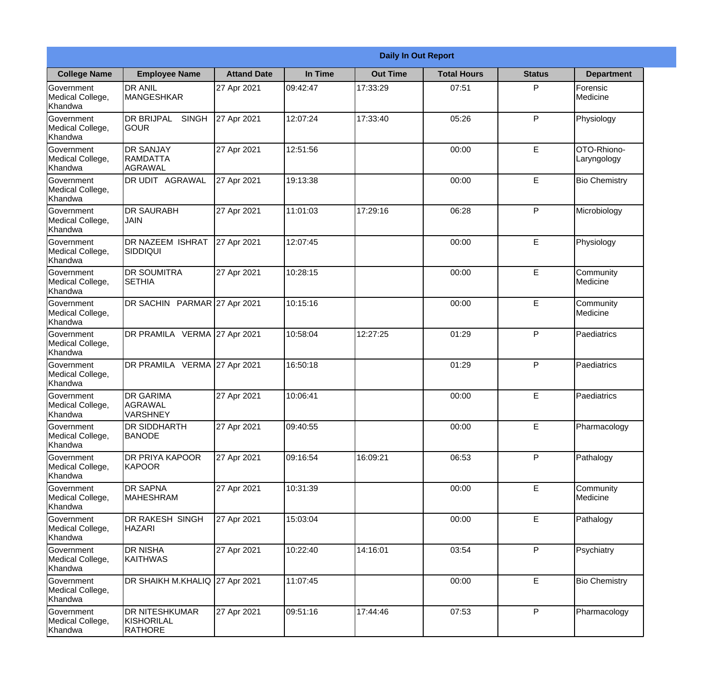|                                                  | <b>Daily In Out Report</b>                            |                    |          |                 |                    |               |                            |  |  |
|--------------------------------------------------|-------------------------------------------------------|--------------------|----------|-----------------|--------------------|---------------|----------------------------|--|--|
| <b>College Name</b>                              | <b>Employee Name</b>                                  | <b>Attand Date</b> | In Time  | <b>Out Time</b> | <b>Total Hours</b> | <b>Status</b> | <b>Department</b>          |  |  |
| Government<br>Medical College,<br>Khandwa        | <b>DR ANIL</b><br><b>MANGESHKAR</b>                   | 27 Apr 2021        | 09:42:47 | 17:33:29        | 07:51              | P             | Forensic<br>Medicine       |  |  |
| Government<br>Medical College,<br>Khandwa        | <b>DR BRIJPAL</b><br><b>SINGH</b><br> GOUR            | 27 Apr 2021        | 12:07:24 | 17:33:40        | 05:26              | P             | Physiology                 |  |  |
| <b>Government</b><br>Medical College,<br>Khandwa | <b>DR SANJAY</b><br><b>RAMDATTA</b><br>AGRAWAL        | 27 Apr 2021        | 12:51:56 |                 | 00:00              | E             | OTO-Rhiono-<br>Laryngology |  |  |
| <b>Government</b><br>Medical College,<br>Khandwa | <b>DR UDIT AGRAWAL</b>                                | 27 Apr 2021        | 19:13:38 |                 | 00:00              | E             | <b>Bio Chemistry</b>       |  |  |
| Government<br>Medical College,<br>Khandwa        | <b>DR SAURABH</b><br><b>JAIN</b>                      | 27 Apr 2021        | 11:01:03 | 17:29:16        | 06:28              | P             | Microbiology               |  |  |
| Government<br>Medical College,<br>Khandwa        | <b>DR NAZEEM ISHRAT</b><br>SIDDIQUI                   | 27 Apr 2021        | 12:07:45 |                 | 00:00              | $\mathsf E$   | Physiology                 |  |  |
| <b>Government</b><br>Medical College,<br>Khandwa | IDR SOUMITRA<br><b>SETHIA</b>                         | 27 Apr 2021        | 10:28:15 |                 | 00:00              | E             | Community<br>Medicine      |  |  |
| <b>Government</b><br>Medical College,<br>Khandwa | DR SACHIN PARMAR 27 Apr 2021                          |                    | 10:15:16 |                 | 00:00              | E             | Community<br>Medicine      |  |  |
| Government<br>Medical College,<br>Khandwa        | DR PRAMILA VERMA 27 Apr 2021                          |                    | 10:58:04 | 12:27:25        | 01:29              | P             | Paediatrics                |  |  |
| Government<br>Medical College,<br>Khandwa        | DR PRAMILA VERMA 27 Apr 2021                          |                    | 16:50:18 |                 | 01:29              | P             | Paediatrics                |  |  |
| Government<br>Medical College,<br>Khandwa        | <b>IDR GARIMA</b><br><b>AGRAWAL</b><br>VARSHNEY       | 27 Apr 2021        | 10:06:41 |                 | 00:00              | E             | Paediatrics                |  |  |
| Government<br>Medical College,<br>Khandwa        | <b>DR SIDDHARTH</b><br><b>BANODE</b>                  | 27 Apr 2021        | 09:40:55 |                 | 00:00              | E             | Pharmacology               |  |  |
| Government<br>Medical College,<br>Khandwa        | <b>DR PRIYA KAPOOR</b><br><b>KAPOOR</b>               | 27 Apr 2021        | 09:16:54 | 16:09:21        | 06:53              | P             | Pathalogy                  |  |  |
| Government<br>Medical College,<br>Khandwa        | <b>DR SAPNA</b><br><b>MAHESHRAM</b>                   | 27 Apr 2021        | 10:31:39 |                 | 00:00              | $\mathsf E$   | Community<br>Medicine      |  |  |
| <b>Government</b><br>Medical College,<br>Khandwa | DR RAKESH SINGH<br><b>HAZARI</b>                      | 27 Apr 2021        | 15:03:04 |                 | 00:00              | E             | Pathalogy                  |  |  |
| Government<br>Medical College,<br>Khandwa        | <b>DR NISHA</b><br><b>KAITHWAS</b>                    | 27 Apr 2021        | 10:22:40 | 14:16:01        | 03:54              | P             | Psychiatry                 |  |  |
| Government<br>Medical College,<br>Khandwa        | DR SHAIKH M.KHALIQ 27 Apr 2021                        |                    | 11:07:45 |                 | 00:00              | E             | <b>Bio Chemistry</b>       |  |  |
| Government<br>Medical College,<br>Khandwa        | <b>DR NITESHKUMAR</b><br>KISHORILAL<br><b>RATHORE</b> | 27 Apr 2021        | 09:51:16 | 17:44:46        | 07:53              | P             | Pharmacology               |  |  |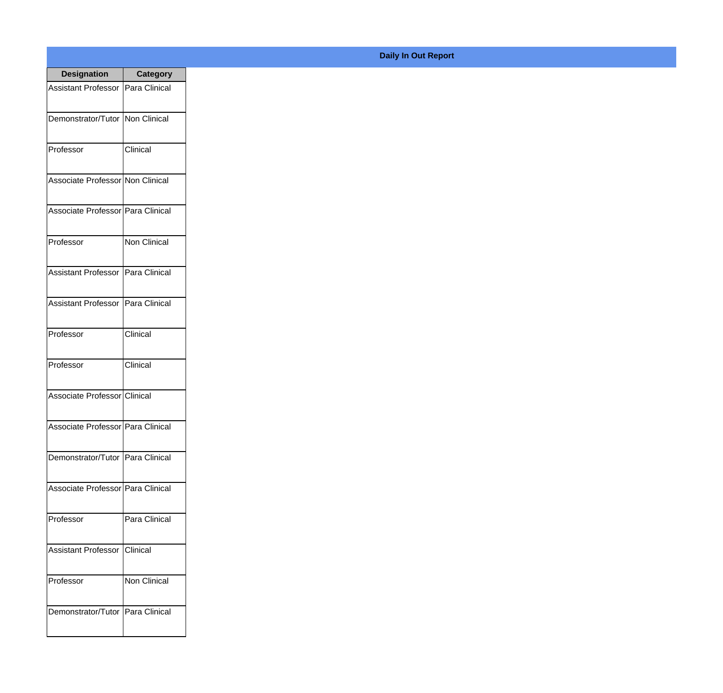| <b>Designation</b>                  | <b>Category</b>      |
|-------------------------------------|----------------------|
| <b>Assistant Professor</b>          | <b>Para Clinical</b> |
| Demonstrator/Tutor   Non Clinical   |                      |
| Professor                           | Clinical             |
| Associate Professor Non Clinical    |                      |
| Associate Professor   Para Clinical |                      |
| Professor                           | Non Clinical         |
| <b>Assistant Professor</b>          | Para Clinical        |
| Assistant Professor   Para Clinical |                      |
| Professor                           | Clinical             |
| Professor                           | Clinical             |
| Associate Professor Clinical        |                      |
| Associate Professor Para Clinical   |                      |
| Demonstrator/Tutor   Para Clinical  |                      |
| Associate Professor   Para Clinical |                      |
| Professor                           | Para Clinical        |
| <b>Assistant Professor</b>          | Clinical             |
| Professor                           | <b>Non Clinical</b>  |
| Demonstrator/Tutor   Para Clinical  |                      |

## **Daily In Out Report**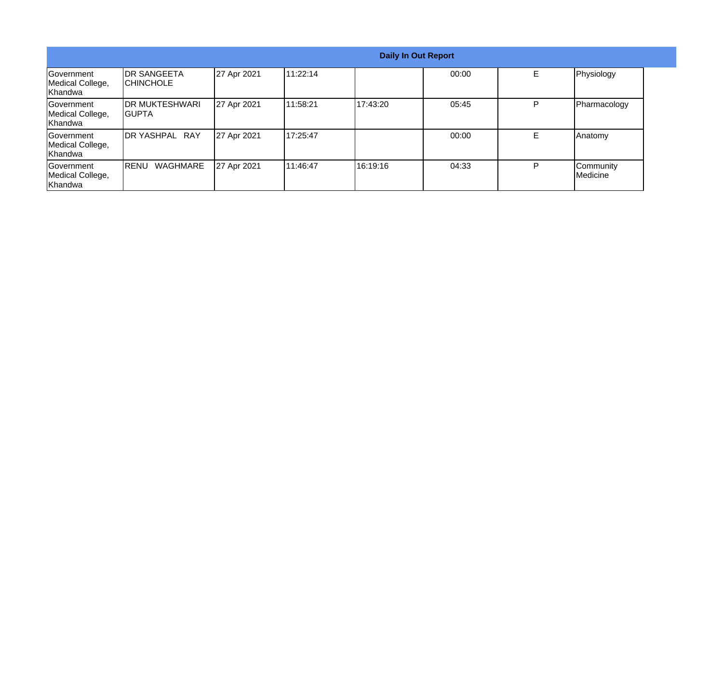| <b>Daily In Out Report</b>                        |                                  |             |          |          |       |   |                       |
|---------------------------------------------------|----------------------------------|-------------|----------|----------|-------|---|-----------------------|
| Government<br>Medical College,<br>Khandwa         | <b>DR SANGEETA</b><br>ICHINCHOLE | 27 Apr 2021 | 11:22:14 |          | 00:00 | E | Physiology            |
| <b>IGovernment</b><br>Medical College,<br>Khandwa | <b>IDR MUKTESHWARI</b><br>IGUPTA | 27 Apr 2021 | 11:58:21 | 17:43:20 | 05:45 | P | Pharmacology          |
| <b>IGovernment</b><br>Medical College,<br>Khandwa | DR YASHPAL RAY                   | 27 Apr 2021 | 17:25:47 |          | 00:00 | E | Anatomy               |
| <b>IGovernment</b><br>Medical College,<br>Khandwa | WAGHMARE<br>IRENU                | 27 Apr 2021 | 11:46:47 | 16:19:16 | 04:33 | P | Community<br>Medicine |